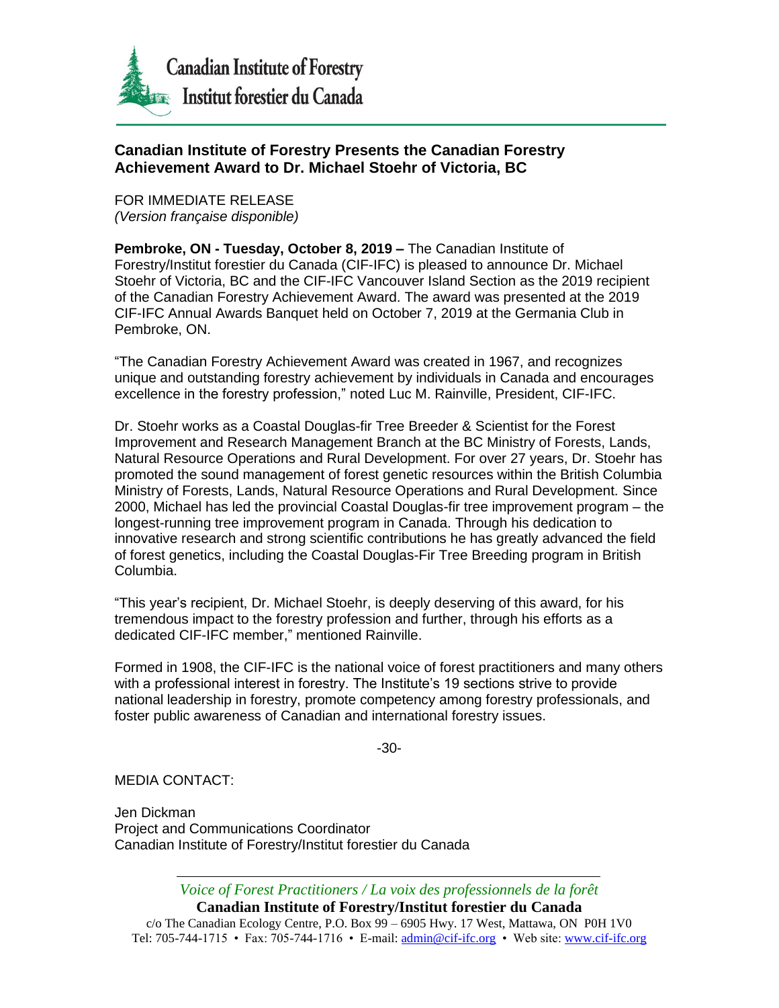

## **Canadian Institute of Forestry Presents the Canadian Forestry Achievement Award to Dr. Michael Stoehr of Victoria, BC**

FOR IMMEDIATE RELEASE *(Version française disponible)*

**Pembroke, ON - Tuesday, October 8, 2019 –** The Canadian Institute of Forestry/Institut forestier du Canada (CIF-IFC) is pleased to announce Dr. Michael Stoehr of Victoria, BC and the CIF-IFC Vancouver Island Section as the 2019 recipient of the Canadian Forestry Achievement Award. The award was presented at the 2019 CIF-IFC Annual Awards Banquet held on October 7, 2019 at the Germania Club in Pembroke, ON.

"The Canadian Forestry Achievement Award was created in 1967, and recognizes unique and outstanding forestry achievement by individuals in Canada and encourages excellence in the forestry profession," noted Luc M. Rainville, President, CIF-IFC.

Dr. Stoehr works as a Coastal Douglas-fir Tree Breeder & Scientist for the Forest Improvement and Research Management Branch at the BC Ministry of Forests, Lands, Natural Resource Operations and Rural Development. For over 27 years, Dr. Stoehr has promoted the sound management of forest genetic resources within the British Columbia Ministry of Forests, Lands, Natural Resource Operations and Rural Development. Since 2000, Michael has led the provincial Coastal Douglas-fir tree improvement program – the longest-running tree improvement program in Canada. Through his dedication to innovative research and strong scientific contributions he has greatly advanced the field of forest genetics, including the Coastal Douglas-Fir Tree Breeding program in British Columbia.

"This year's recipient, Dr. Michael Stoehr, is deeply deserving of this award, for his tremendous impact to the forestry profession and further, through his efforts as a dedicated CIF-IFC member," mentioned Rainville.

Formed in 1908, the CIF-IFC is the national voice of forest practitioners and many others with a professional interest in forestry. The Institute's 19 sections strive to provide national leadership in forestry, promote competency among forestry professionals, and foster public awareness of Canadian and international forestry issues.

-30-

MEDIA CONTACT:

Jen Dickman Project and Communications Coordinator Canadian Institute of Forestry/Institut forestier du Canada

*Voice of Forest Practitioners / La voix des professionnels de la forêt*

**Canadian Institute of Forestry/Institut forestier du Canada**

c/o The Canadian Ecology Centre, P.O. Box 99 – 6905 Hwy. 17 West, Mattawa, ON P0H 1V0 Tel: 705-744-1715 • Fax: 705-744-1716 • E-mail[: admin@cif-ifc.org](mailto:admin@cif-ifc.org) • Web site: [www.cif-ifc.org](http://www.cif-ifc.org/)